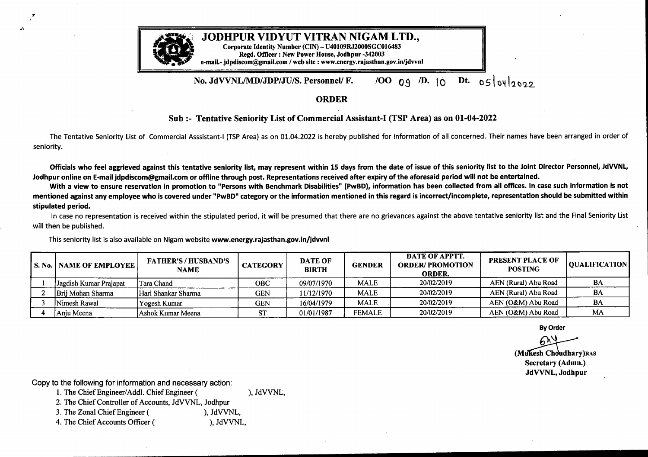

a'

 $\overline{r}$ 

## JODHPUR VIDYUT VITRAN NIGAM LTD.,

Corporate Identity Number (CIN) - U40109RJ2000GC016483 Regd. Officer : New Power House, Jodhpur-342003 e-mail.- jdpdiscom@)gmail.com /web site : www.energy.rajasthan.gov.in/jdvvnl

## No. JdVVNL/MD/JDP/JU/S. Personnel/ F.  $/00$  09 <sup>/D.</sup> 10 <sup>Dt.</sup> 05/04/2022

## ORDER

## **Sub :- Tentative Seniority List of Commercial Assistant-I (TSP Area) as on 01-04-2022**

The Tentative Seniority List of Commercial Asssistant-1 (TSP Area) as on 01.04.2022 is hereby published for information of all concerned. Their names have been arranged in order of seniority.

Officials who feel aggrieved against this tentative seniority list, may represent within 15 days from the date of issue of this seniority list to the Joint Director Personnel, JdVVNL, Jodhpur online on E-mail jdpdiscom@gmail.com or offline through post. Representations received after expiry of the aforesaid period will not be entertained.

With <sup>a</sup> view to ensure reservation in promotion to "Persons with Benchmark Disabilities" **(PwBD),** information has been collected from all offices. In case such information is not mentioned against any employee who is covered under "PwBD" category or the information mentioned in this regard is incorrect/incomplete, representation should be submitted within **stipulated period.**

In case no representation is received within the stipulated period, it will be presumed that there are no grievances against the above tentative seniority list and the Final Seniority List will then be published.

This seniority list is also available on Nigam website **www.energy.rajasthan.gov.in/jdvvnl**

| <b>I S. No.   NAME OF EMPLOYEE  </b> | <b>FATHER'S/HUSBAND'S</b><br><b>NAME</b> | <b>CATEGORY</b> | <b>DATE OF</b><br><b>BIRTH</b> | <b>GENDER</b> | DATE OF APPTT.<br><b>ORDER/PROMOTION</b><br><b>ORDER.</b> | <b>PRESENT PLACE OF</b><br><b>POSTING</b> | QUALIFICATION |
|--------------------------------------|------------------------------------------|-----------------|--------------------------------|---------------|-----------------------------------------------------------|-------------------------------------------|---------------|
| Jagdish Kumar Prajapat               | Tara Chand                               | <b>OBC</b>      | 09/07/1970                     | <b>MALE</b>   | 20/02/2019                                                | AEN (Rural) Abu Road                      | BA            |
| Brij Mohan Sharma                    | Hari Shankar Sharma                      | <b>GEN</b>      | 11/12/1970                     | <b>MALE</b>   | 20/02/2019                                                | AEN (Rural) Abu Road                      | BA            |
| Nimesh Rawal                         | Yogesh Kumar                             | <b>GEN</b>      | 16/04/1979                     | <b>MALE</b>   | 20/02/2019                                                | AEN (O&M) Abu Road                        | BA            |
| Anju Meena                           | Ashok Kumar Meena                        |                 | 01/01/1987                     | <b>FEMALE</b> | 20/02/2019                                                | AEN (O&M) Abu Road                        | MA            |

**By Order**

**(Muxroproprofilm)**<br>
(Muxroprofilm)<br>
(Muxroprofilm)<br>
(Muxroprofilm)<br>
(Muxroprofilm)<br>
(Muxroprofilm)<br>
(Muxroprofilm)<br>
JdVVNL, Jodhpur **Secretary (Admn.) JdVVNL, Jodhpur**

Copy to the following for information and necessary action:

1. The Chief Engineer/Addl. Chief Engineer ( ), JdVVNL,

2. The Chief Controller of Accounts, JdVVNL, Jodhpur

3. The Zonal Chief Engineer ( ), JdVVNL,

4. The Chief Accounts Officer ( ), JdVVNL,